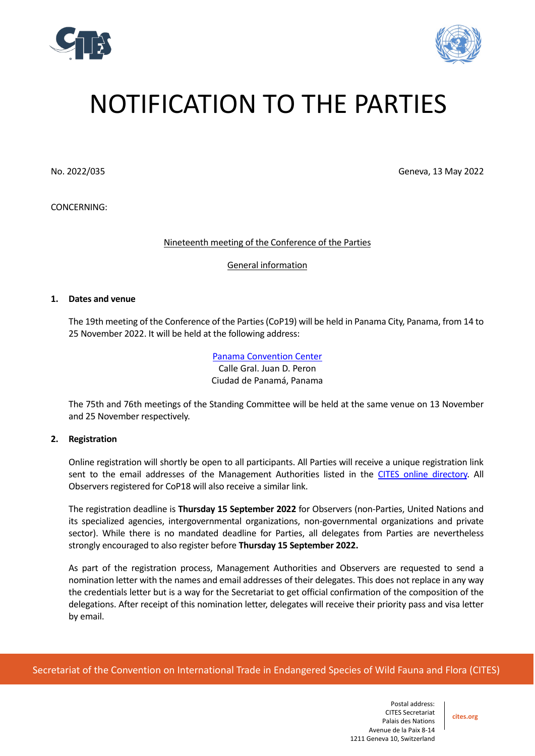



# NOTIFICATION TO THE PARTIES

CONCERNING:

No. 2022/035 Geneva, 13 May 2022

Nineteenth meeting of the Conference of the Parties

General information

#### **1. Dates and venue**

The 19th meeting of the Conference of the Parties (CoP19) will be held in Panama City, Panama, from 14 to 25 November 2022. It will be held at the following address:

> [Panama Convention](https://panamaconventions.com/) Center Calle Gral. Juan D. Peron Ciudad de Panamá, Panama

The 75th and 76th meetings of the Standing Committee will be held at the same venue on 13 November and 25 November respectively.

# **2. Registration**

Online registration will shortly be open to all participants. All Parties will receive a unique registration link sent to the email addresses of the Management Authorities listed in the [CITES online directory.](https://cites.org/eng/cms/index.php/component/cp) All Observers registered for CoP18 will also receive a similar link.

The registration deadline is **Thursday 15 September 2022** for Observers (non-Parties, United Nations and its specialized agencies, intergovernmental organizations, non-governmental organizations and private sector). While there is no mandated deadline for Parties, all delegates from Parties are nevertheless strongly encouraged to also register before **Thursday 15 September 2022.**

As part of the registration process, Management Authorities and Observers are requested to send a nomination letter with the names and email addresses of their delegates. This does not replace in any way the credentials letter but is a way for the Secretariat to get official confirmation of the composition of the delegations. After receipt of this nomination letter, delegates will receive their priority pass and visa letter by email.

Secretariat of the Convention on International Trade in Endangered Species of Wild Fauna and Flora (CITES)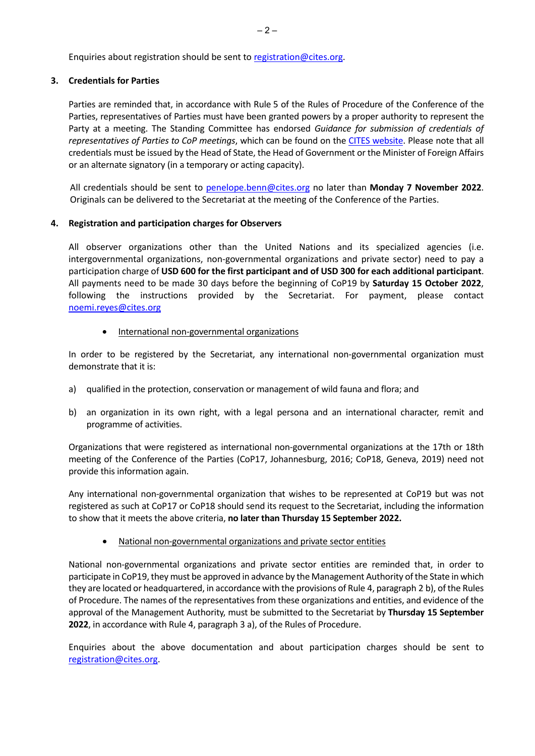Enquiries about registration should be sent t[o registration@cites.org.](mailto:registration@cites.org)

# **3. Credentials for Parties**

Parties are reminded that, in accordance with Rule 5 of the Rules of Procedure of the Conference of the Parties, representatives of Parties must have been granted powers by a proper authority to represent the Party at a meeting. The Standing Committee has endorsed *Guidance for submission of credentials of representatives of Parties to CoP meetings*, which can be found on the [CITES website.](https://cites.org/sites/default/files/eng/cop/E-Guidance_for_submission_of_credentials.pdf) Please note that all credentials must be issued by the Head of State, the Head of Government or the Minister of Foreign Affairs or an alternate signatory (in a temporary or acting capacity).

All credentials should be sent to [penelope.benn@cites.org](mailto:penelope.benn@cites.org) no later than **Monday 7 November 2022**. Originals can be delivered to the Secretariat at the meeting of the Conference of the Parties.

# **4. Registration and participation charges for Observers**

All observer organizations other than the United Nations and its specialized agencies (i.e. intergovernmental organizations, non-governmental organizations and private sector) need to pay a participation charge of **USD 600 for the first participant and of USD 300 for each additional participant**. All payments need to be made 30 days before the beginning of CoP19 by **Saturday 15 October 2022**, following the instructions provided by the Secretariat. For payment, please contact [noemi.reyes@cites.org](mailto:noemi.reyes@cites.org) 

• International non-governmental organizations

In order to be registered by the Secretariat, any international non-governmental organization must demonstrate that it is:

- a) qualified in the protection, conservation or management of wild fauna and flora; and
- b) an organization in its own right, with a legal persona and an international character, remit and programme of activities.

Organizations that were registered as international non-governmental organizations at the 17th or 18th meeting of the Conference of the Parties (CoP17, Johannesburg, 2016; CoP18, Geneva, 2019) need not provide this information again.

Any international non-governmental organization that wishes to be represented at CoP19 but was not registered as such at CoP17 or CoP18 should send its request to the Secretariat, including the information to show that it meets the above criteria, **no later than Thursday 15 September 2022.**

• National non-governmental organizations and private sector entities

National non-governmental organizations and private sector entities are reminded that, in order to participate in CoP19, they must be approved in advance by the Management Authority of the State in which they are located or headquartered, in accordance with the provisions of Rule 4, paragraph 2 b), of the Rules of Procedure. The names of the representatives from these organizations and entities, and evidence of the approval of the Management Authority, must be submitted to the Secretariat by **Thursday 15 September 2022**, in accordance with Rule 4, paragraph 3 a), of the Rules of Procedure.

Enquiries about the above documentation and about participation charges should be sent to [registration@cites.org.](mailto:registration@cites.org)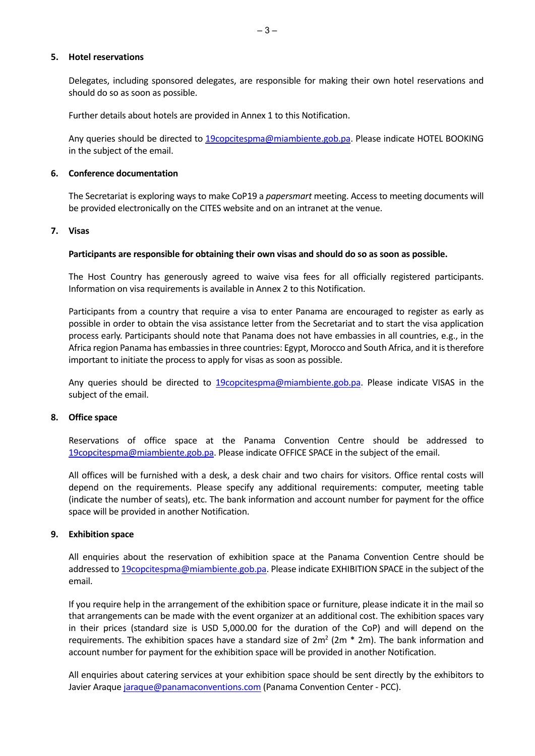#### **5. Hotel reservations**

Delegates, including sponsored delegates, are responsible for making their own hotel reservations and should do so as soon as possible.

Further details about hotels are provided in Annex 1 to this Notification.

Any queries should be directed to [19copcitespma@miambiente.gob.pa.](mailto:19copcitespma@miambiente.gob.pa) Please indicate HOTEL BOOKING in the subject of the email.

#### **6. Conference documentation**

The Secretariat is exploring ways to make CoP19 a *papersmart* meeting. Access to meeting documents will be provided electronically on the CITES website and on an intranet at the venue.

# **7. Visas**

#### **Participants are responsible for obtaining their own visas and should do so as soon as possible.**

The Host Country has generously agreed to waive visa fees for all officially registered participants. Information on visa requirements is available in Annex 2 to this Notification.

Participants from a country that require a visa to enter Panama are encouraged to register as early as possible in order to obtain the visa assistance letter from the Secretariat and to start the visa application process early. Participants should note that Panama does not have embassies in all countries, e.g., in the Africa region Panama has embassies in three countries: Egypt, Morocco and South Africa, and it is therefore important to initiate the process to apply for visas as soon as possible.

Any queries should be directed to [19copcitespma@miambiente.gob.pa.](mailto:19copcitespma@miambiente.gob.pa) Please indicate VISAS in the subject of the email.

# **8. Office space**

Reservations of office space at the Panama Convention Centre should be addressed to [19copcitespma@miambiente.gob.pa.](mailto:19copcitespma@miambiente.gob.pa) Please indicate OFFICE SPACE in the subject of the email.

All offices will be furnished with a desk, a desk chair and two chairs for visitors. Office rental costs will depend on the requirements. Please specify any additional requirements: computer, meeting table (indicate the number of seats), etc. The bank information and account number for payment for the office space will be provided in another Notification.

# **9. Exhibition space**

All enquiries about the reservation of exhibition space at the Panama Convention Centre should be addressed to [19copcitespma@miambiente.gob.pa.](mailto:19copcitespma@miambiente.gob.pa) Please indicate EXHIBITION SPACE in the subject of the email.

If you require help in the arrangement of the exhibition space or furniture, please indicate it in the mail so that arrangements can be made with the event organizer at an additional cost. The exhibition spaces vary in their prices (standard size is USD 5,000.00 for the duration of the CoP) and will depend on the requirements. The exhibition spaces have a standard size of  $2m^2 (2m * 2m)$ . The bank information and account number for payment for the exhibition space will be provided in another Notification.

All enquiries about catering services at your exhibition space should be sent directly by the exhibitors to Javier Araque *jaraque@panamaconventions.com* (Panama Convention Center - PCC).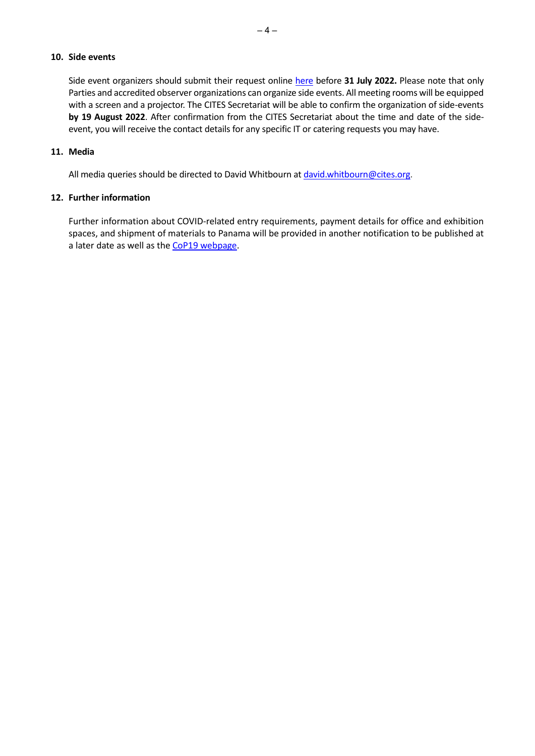# **10. Side events**

Side event organizers should submit their request online [here](https://forms.office.com/r/KH84gnM6PB) before 31 July 2022. Please note that only Parties and accredited observer organizations can organize side events. All meeting rooms will be equipped with a screen and a projector. The CITES Secretariat will be able to confirm the organization of side-events **by 19 August 2022**. After confirmation from the CITES Secretariat about the time and date of the sideevent, you will receive the contact details for any specific IT or catering requests you may have.

#### **11. Media**

All media queries should be directed to David Whitbourn at [david.whitbourn@cites.org.](mailto:david.whitbourn@cites.org)

# **12. Further information**

Further information about COVID-related entry requirements, payment details for office and exhibition spaces, and shipment of materials to Panama will be provided in another notification to be published at a later date as well as the [CoP19 webpage.](https://cites.org/eng/cop19)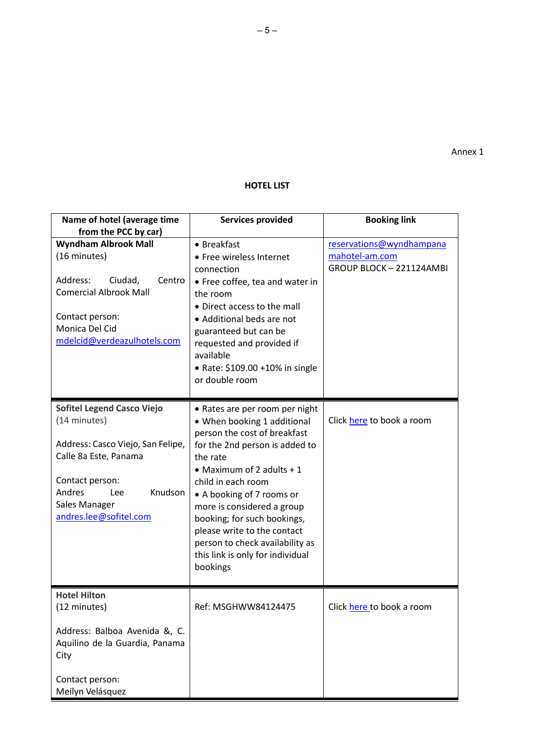Annex 1

# **HOTEL LIST**

| Name of hotel (average time<br>from the PCC by car)                                                                                                                                                       | <b>Services provided</b>                                                                                                                                                                                                                                                                                                                                                                                    | <b>Booking link</b>                                                    |
|-----------------------------------------------------------------------------------------------------------------------------------------------------------------------------------------------------------|-------------------------------------------------------------------------------------------------------------------------------------------------------------------------------------------------------------------------------------------------------------------------------------------------------------------------------------------------------------------------------------------------------------|------------------------------------------------------------------------|
| <b>Wyndham Albrook Mall</b><br>(16 minutes)<br>Address:<br>Ciudad,<br>Centro<br><b>Comercial Albrook Mall</b><br>Contact person:<br>Monica Del Cid<br>mdelcid@verdeazulhotels.com                         | • Breakfast<br>• Free wireless Internet<br>connection<br>• Free coffee, tea and water in<br>the room<br>• Direct access to the mall<br>• Additional beds are not<br>guaranteed but can be<br>requested and provided if<br>available<br>• Rate: \$109.00 +10% in single<br>or double room                                                                                                                    | reservations@wyndhampana<br>mahotel-am.com<br>GROUP BLOCK - 221124AMBI |
| <b>Sofitel Legend Casco Viejo</b><br>(14 minutes)<br>Address: Casco Viejo, San Felipe,<br>Calle 8a Este, Panama<br>Contact person:<br>Andres<br>Knudson<br>Lee<br>Sales Manager<br>andres.lee@sofitel.com | • Rates are per room per night<br>• When booking 1 additional<br>person the cost of breakfast<br>for the 2nd person is added to<br>the rate<br>• Maximum of 2 adults $+1$<br>child in each room<br>• A booking of 7 rooms or<br>more is considered a group<br>booking; for such bookings,<br>please write to the contact<br>person to check availability as<br>this link is only for individual<br>bookings | Click here to book a room                                              |
| <b>Hotel Hilton</b><br>(12 minutes)<br>Address: Balboa Avenida &, C.<br>Aquilino de la Guardia, Panama<br>City<br>Contact person:<br>Meilyn Velásquez                                                     | Ref: MSGHWW84124475                                                                                                                                                                                                                                                                                                                                                                                         | Click here to book a room                                              |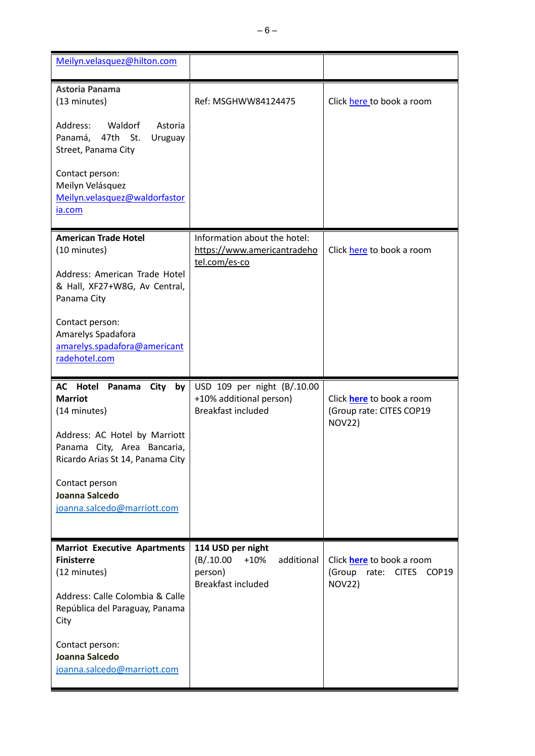| Meilyn.velasquez@hilton.com                                                                                                      |                                                                                     |                                                                 |
|----------------------------------------------------------------------------------------------------------------------------------|-------------------------------------------------------------------------------------|-----------------------------------------------------------------|
| <b>Astoria Panama</b><br>(13 minutes)<br>Address:<br>Waldorf<br>Astoria<br>Panamá,<br>47th St.<br>Uruguay<br>Street, Panama City | Ref: MSGHWW84124475                                                                 | Click here to book a room                                       |
| Contact person:<br>Meilyn Velásquez<br>Meilyn.velasquez@waldorfastor<br>ia.com                                                   |                                                                                     |                                                                 |
| <b>American Trade Hotel</b><br>(10 minutes)                                                                                      | Information about the hotel:<br>https://www.americantradeho<br>tel.com/es-co        | Click here to book a room                                       |
| Address: American Trade Hotel<br>& Hall, XF27+W8G, Av Central,<br>Panama City                                                    |                                                                                     |                                                                 |
| Contact person:<br>Amarelys Spadafora<br>amarelys.spadafora@americant<br>radehotel.com                                           |                                                                                     |                                                                 |
|                                                                                                                                  |                                                                                     |                                                                 |
| Hotel<br>AC<br>Panama<br><b>City</b><br>by<br><b>Marriot</b><br>(14 minutes)                                                     | USD 109 per night (B/.10.00<br>+10% additional person)<br><b>Breakfast included</b> | Click here to book a room<br>(Group rate: CITES COP19           |
| Address: AC Hotel by Marriott<br>Panama City, Area Bancaria,<br>Ricardo Arias St 14, Panama City                                 |                                                                                     | <b>NOV22)</b>                                                   |
| Contact person<br>Joanna Salcedo<br>joanna.salcedo@marriott.com                                                                  |                                                                                     |                                                                 |
| <b>Marriot Executive Apartments</b><br><b>Finisterre</b><br>(12 minutes)                                                         | 114 USD per night<br>(B/.10.00)<br>additional<br>$+10%$<br>person)                  | Click <b>here</b> to book a room<br>(Group<br>rate: CITES COP19 |
| Address: Calle Colombia & Calle<br>República del Paraguay, Panama<br>City                                                        | <b>Breakfast included</b>                                                           | <b>NOV22)</b>                                                   |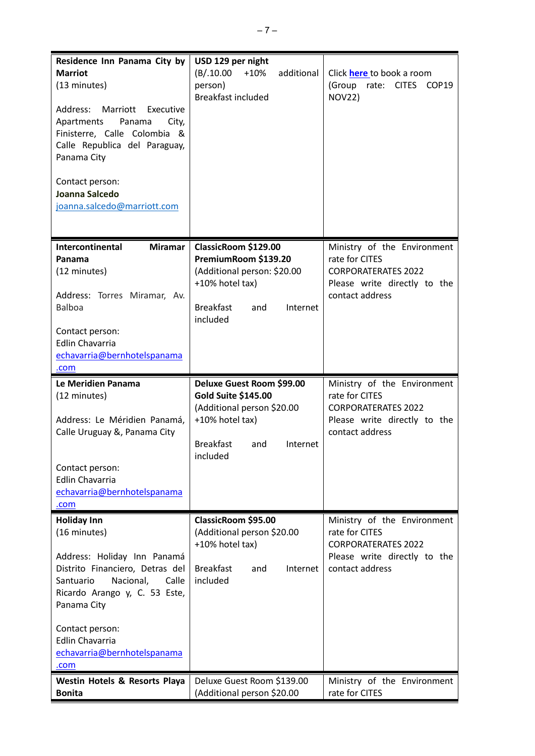| Residence Inn Panama City by<br><b>Marriot</b><br>(13 minutes)<br>Address: Marriott Executive<br>Apartments<br>Panama<br>City,<br>Finisterre, Calle Colombia &<br>Calle Republica del Paraguay,<br>Panama City<br>Contact person:<br>Joanna Salcedo<br>joanna.salcedo@marriott.com                    | USD 129 per night<br>(B/.10.00<br>$+10%$<br>additional<br>person)<br><b>Breakfast included</b>                                                        | Click <b>here</b> to book a room<br>(Group<br>rate:<br><b>CITES</b><br>COP19<br><b>NOV22)</b>                                                                 |
|-------------------------------------------------------------------------------------------------------------------------------------------------------------------------------------------------------------------------------------------------------------------------------------------------------|-------------------------------------------------------------------------------------------------------------------------------------------------------|---------------------------------------------------------------------------------------------------------------------------------------------------------------|
| <b>Intercontinental</b><br><b>Miramar</b><br>Panama<br>(12 minutes)<br>Address: Torres Miramar, Av.<br><b>Balboa</b><br>Contact person:<br><b>Edlin Chavarria</b><br>echavarria@bernhotelspanama<br>.com                                                                                              | ClassicRoom \$129.00<br>PremiumRoom \$139.20<br>(Additional person: \$20.00<br>+10% hotel tax)<br><b>Breakfast</b><br>Internet<br>and<br>included     | Ministry of the Environment<br>rate for CITES<br><b>CORPORATERATES 2022</b><br>Please write directly to the<br>contact address                                |
| Le Meridien Panama                                                                                                                                                                                                                                                                                    | Deluxe Guest Room \$99.00                                                                                                                             | Ministry of the Environment                                                                                                                                   |
| (12 minutes)<br>Address: Le Méridien Panamá,<br>Calle Uruguay &, Panama City<br>Contact person:<br><b>Edlin Chavarria</b><br>echavarria@bernhotelspanama<br>.com                                                                                                                                      | <b>Gold Suite \$145.00</b><br>(Additional person \$20.00<br>+10% hotel tax)<br><b>Breakfast</b><br>and<br>Internet<br>included                        | rate for CITES<br><b>CORPORATERATES 2022</b><br>Please write directly to the<br>contact address                                                               |
| <b>Holiday Inn</b><br>(16 minutes)<br>Address: Holiday Inn Panamá<br>Distrito Financiero, Detras del<br>Santuario<br>Nacional,<br>Calle<br>Ricardo Arango y, C. 53 Este,<br>Panama City<br>Contact person:<br>Edlin Chavarria<br>echavarria@bernhotelspanama<br>.com<br>Westin Hotels & Resorts Playa | ClassicRoom \$95.00<br>(Additional person \$20.00<br>+10% hotel tax)<br><b>Breakfast</b><br>and<br>Internet<br>included<br>Deluxe Guest Room \$139.00 | Ministry of the Environment<br>rate for CITES<br><b>CORPORATERATES 2022</b><br>Please write directly to the<br>contact address<br>Ministry of the Environment |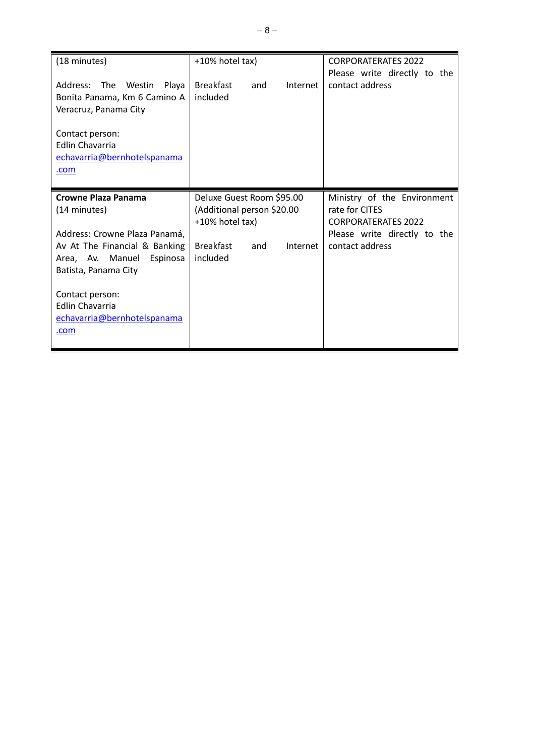| (18 minutes)                                                                                                                                                                                                                                      | +10% hotel tax)                                                                                                   | <b>CORPORATERATES 2022</b>                                                                                                                 |
|---------------------------------------------------------------------------------------------------------------------------------------------------------------------------------------------------------------------------------------------------|-------------------------------------------------------------------------------------------------------------------|--------------------------------------------------------------------------------------------------------------------------------------------|
| Address: The<br>Westin<br>Playa<br>Bonita Panama, Km 6 Camino A<br>Veracruz, Panama City<br>Contact person:<br><b>Edlin Chavarria</b><br>echavarria@bernhotelspanama<br>.com                                                                      | <b>Breakfast</b><br>and<br>included                                                                               | Please write directly to the<br>Internet<br>contact address                                                                                |
| Crowne Plaza Panama<br>(14 minutes)<br>Address: Crowne Plaza Panamá,<br>Av At The Financial & Banking<br>Area, Av. Manuel<br>Espinosa<br>Batista, Panama City<br>Contact person:<br><b>Edlin Chavarria</b><br>echavarria@bernhotelspanama<br>.com | Deluxe Guest Room \$95.00<br>(Additional person \$20.00<br>+10% hotel tax)<br><b>Breakfast</b><br>and<br>included | Ministry of the Environment<br>rate for CITES<br><b>CORPORATERATES 2022</b><br>Please write directly to the<br>contact address<br>Internet |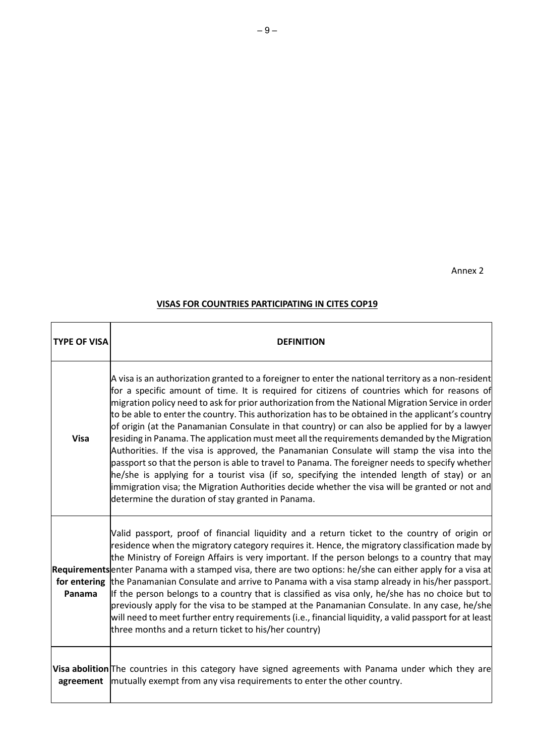Annex 2

# **VISAS FOR COUNTRIES PARTICIPATING IN CITES COP19**

| <b>TYPE OF VISA</b> | <b>DEFINITION</b>                                                                                                                                                                                                                                                                                                                                                                                                                                                                                                                                                                                                                                                                                                                                                                                                                                                                                                                                                                                                                                                       |
|---------------------|-------------------------------------------------------------------------------------------------------------------------------------------------------------------------------------------------------------------------------------------------------------------------------------------------------------------------------------------------------------------------------------------------------------------------------------------------------------------------------------------------------------------------------------------------------------------------------------------------------------------------------------------------------------------------------------------------------------------------------------------------------------------------------------------------------------------------------------------------------------------------------------------------------------------------------------------------------------------------------------------------------------------------------------------------------------------------|
| <b>Visa</b>         | A visa is an authorization granted to a foreigner to enter the national territory as a non-resident<br>for a specific amount of time. It is required for citizens of countries which for reasons of<br>migration policy need to ask for prior authorization from the National Migration Service in order<br>to be able to enter the country. This authorization has to be obtained in the applicant's country<br>of origin (at the Panamanian Consulate in that country) or can also be applied for by a lawyer<br>residing in Panama. The application must meet all the requirements demanded by the Migration<br>Authorities. If the visa is approved, the Panamanian Consulate will stamp the visa into the<br>passport so that the person is able to travel to Panama. The foreigner needs to specify whether<br>he/she is applying for a tourist visa (if so, specifying the intended length of stay) or an<br>immigration visa; the Migration Authorities decide whether the visa will be granted or not and<br>determine the duration of stay granted in Panama. |
| Panama              | Valid passport, proof of financial liquidity and a return ticket to the country of origin or<br>residence when the migratory category requires it. Hence, the migratory classification made by<br>the Ministry of Foreign Affairs is very important. If the person belongs to a country that may<br>Requirements enter Panama with a stamped visa, there are two options: he/she can either apply for a visa at<br>for entering the Panamanian Consulate and arrive to Panama with a visa stamp already in his/her passport.<br>If the person belongs to a country that is classified as visa only, he/she has no choice but to<br>previously apply for the visa to be stamped at the Panamanian Consulate. In any case, he/she<br>will need to meet further entry requirements (i.e., financial liquidity, a valid passport for at least<br>three months and a return ticket to his/her country)                                                                                                                                                                       |
|                     | Visa abolition The countries in this category have signed agreements with Panama under which they are<br>agreement   mutually exempt from any visa requirements to enter the other country.                                                                                                                                                                                                                                                                                                                                                                                                                                                                                                                                                                                                                                                                                                                                                                                                                                                                             |